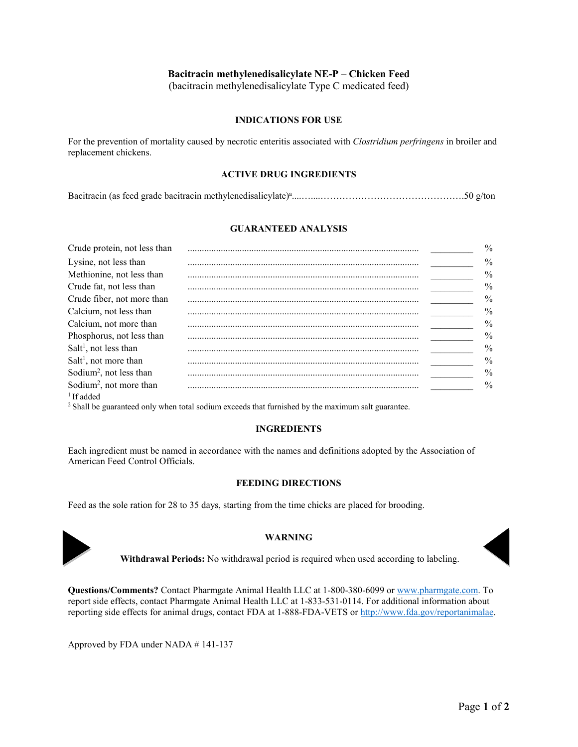# **Bacitracin methylenedisalicylate NE-P – Chicken Feed**

(bacitracin methylenedisalicylate Type C medicated feed)

## **INDICATIONS FOR USE**

For the prevention of mortality caused by necrotic enteritis associated with *Clostridium perfringens* in broiler and replacement chickens.

### **ACTIVE DRUG INGREDIENTS**

Bacitracin (as feed grade bacitracin methylenedisalicylate) a ....…....……………………………………….50 g/ton

## **GUARANTEED ANALYSIS**

| Crude protein, not less than        | $\frac{0}{0}$ |
|-------------------------------------|---------------|
| Lysine, not less than               | $\%$          |
| Methionine, not less than           | $\frac{0}{0}$ |
| Crude fat, not less than            | $\frac{0}{0}$ |
| Crude fiber, not more than          | $\frac{0}{0}$ |
| Calcium, not less than              | $\frac{0}{0}$ |
| Calcium, not more than              | $\frac{0}{0}$ |
| Phosphorus, not less than           | $\frac{0}{0}$ |
| Salt <sup>1</sup> , not less than   | $\frac{0}{0}$ |
| $Salt1$ , not more than             | $\frac{0}{0}$ |
| Sodium <sup>2</sup> , not less than | $\frac{0}{0}$ |
| Sodium <sup>2</sup> , not more than | $\frac{0}{0}$ |
| $1$ If added                        |               |

<sup>2</sup> Shall be guaranteed only when total sodium exceeds that furnished by the maximum salt guarantee.

#### **INGREDIENTS**

Each ingredient must be named in accordance with the names and definitions adopted by the Association of American Feed Control Officials.

## **FEEDING DIRECTIONS**

Feed as the sole ration for 28 to 35 days, starting from the time chicks are placed for brooding.



## **WARNING**



**Withdrawal Periods:** No withdrawal period is required when used according to labeling.

**Questions/Comments?** Contact Pharmgate Animal Health LLC at 1-800-380-6099 o[r www.pharmgate.com.](http://www.pharmgate.com/) To report side effects, contact Pharmgate Animal Health LLC at 1-833-531-0114. For additional information about reporting side effects for animal drugs, contact FDA at 1-888-FDA-VETS or [http://www.fda.gov/reportanimalae.](http://www.fda.gov/reportanimalae)

Approved by FDA under NADA # 141-137